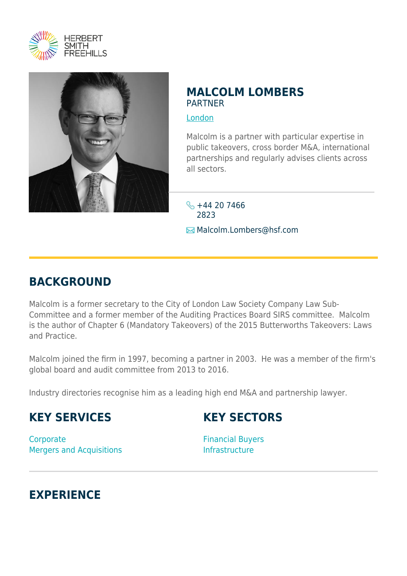



#### **MALCOLM LOMBERS** PARTNER

[London](https://www.herbertsmithfreehills.com/where-we-work/london)

Malcolm is a partner with particular expertise in public takeovers, cross border M&A, international partnerships and regularly advises clients across all sectors.

 $\frac{1}{5} + 44 20 7466$ 2823 Malcolm.Lombers@hsf.com

# **BACKGROUND**

Malcolm is a former secretary to the City of London Law Society Company Law Sub-Committee and a former member of the Auditing Practices Board SIRS committee. Malcolm is the author of Chapter 6 (Mandatory Takeovers) of the 2015 Butterworths Takeovers: Laws and Practice.

Malcolm joined the firm in 1997, becoming a partner in 2003. He was a member of the firm's global board and audit committee from 2013 to 2016.

Industry directories recognise him as a leading high end M&A and partnership lawyer.

# **KEY SERVICES**

# **KEY SECTORS**

**Corporate** Mergers and Acquisitions

Financial Buyers Infrastructure

#### **EXPERIENCE**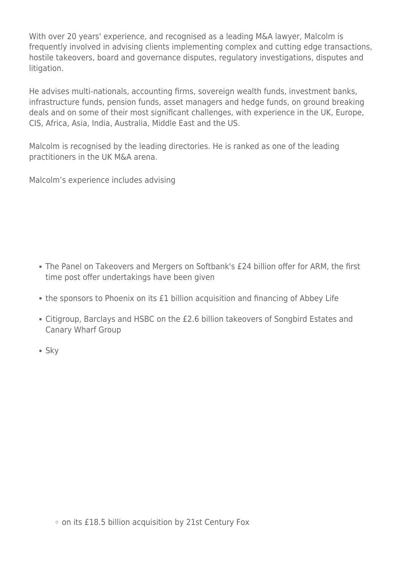With over 20 years' experience, and recognised as a leading M&A lawyer, Malcolm is frequently involved in advising clients implementing complex and cutting edge transactions, hostile takeovers, board and governance disputes, regulatory investigations, disputes and litigation.

He advises multi-nationals, accounting firms, sovereign wealth funds, investment banks, infrastructure funds, pension funds, asset managers and hedge funds, on ground breaking deals and on some of their most significant challenges, with experience in the UK, Europe, CIS, Africa, Asia, India, Australia, Middle East and the US.

Malcolm is recognised by the leading directories. He is ranked as one of the leading practitioners in the UK M&A arena.

Malcolm's experience includes advising

- The Panel on Takeovers and Mergers on Softbank's £24 billion offer for ARM, the first time post offer undertakings have been given
- the sponsors to Phoenix on its £1 billion acquisition and financing of Abbey Life
- Citigroup, Barclays and HSBC on the £2.6 billion takeovers of Songbird Estates and Canary Wharf Group
- Sky